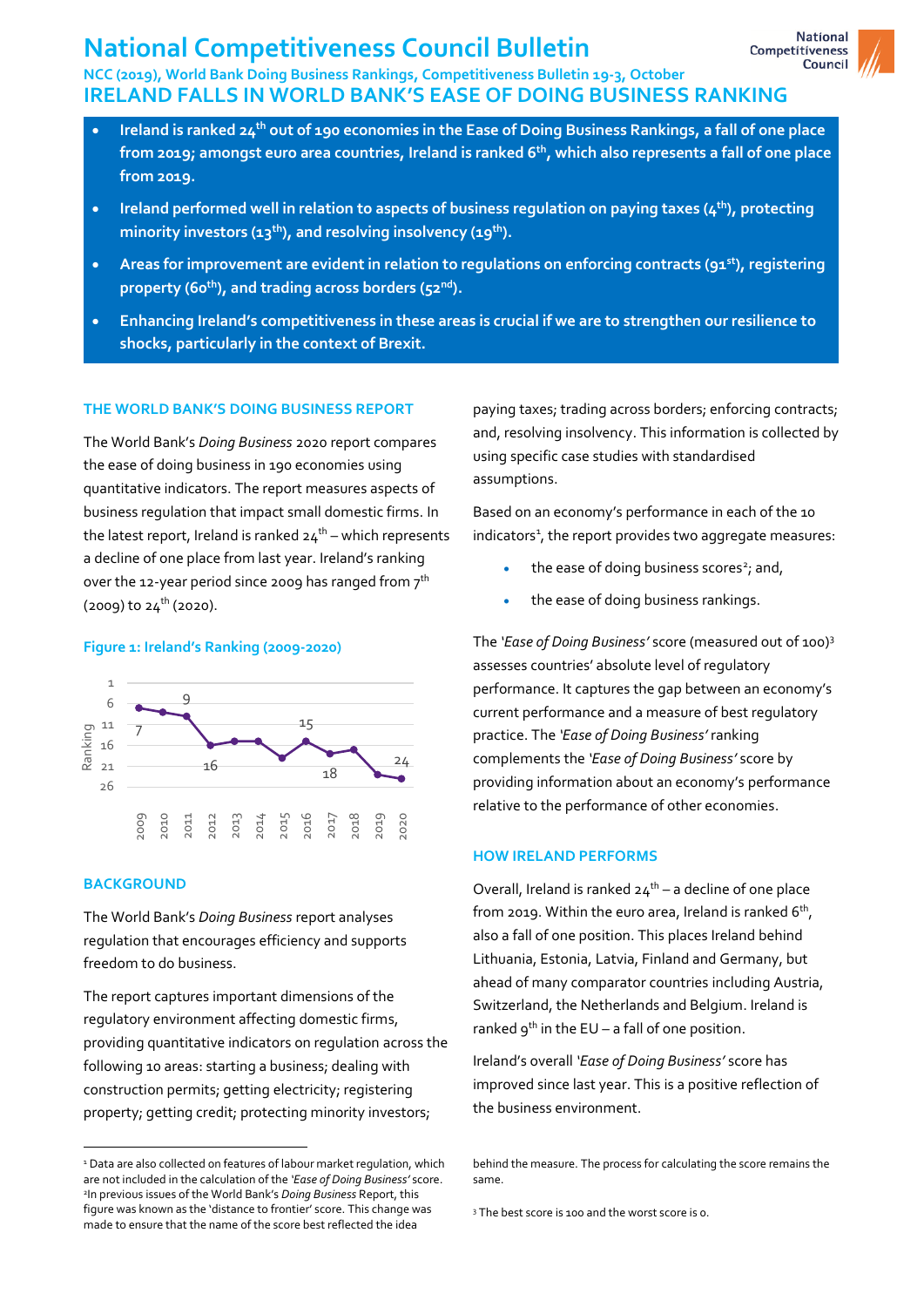# **National Competitiveness Council Bulletin**

## **NCC (2019), World Bank Doing Business Rankings, Competitiveness Bulletin 19-3, October IRELAND FALLS IN WORLD BANK'S EASE OF DOING BUSINESS RANKING**

- **Ireland is ranked 24 th out of 190 economies in the Ease of Doing Business Rankings, a fall of one place from 2019; amongst euro area countries, Ireland is ranked 6 th , which also represents a fall of one place from 2019.**
- **Ireland performed well in relation to aspects of business regulation on paying taxes (4th), protecting minority investors (13 th), and resolving insolvency (19 th).**
- **Areas for improvement are evident in relation to regulations on enforcing contracts (91st), registering property (60 th), and trading across borders (52nd).**
- **Enhancing Ireland's competitiveness in these areas is crucial if we are to strengthen our resilience to shocks, particularly in the context of Brexit.**

## **THE WORLD BANK'S DOING BUSINESS REPORT**

The World Bank's *Doing Business* 2020 report compares the ease of doing business in 190 economies using quantitative indicators. The report measures aspects of business regulation that impact small domestic firms. In the latest report, Ireland is ranked 24 $^{\rm th}$  – which represents a decline of one place from last year. Ireland's ranking over the 12-year period since 2009 has ranged from  $\mathbf{\mathbf{7}}^\text{th}$  $(2009)$  to  $24^{th}$  (2020).

#### **Figure 1: Ireland's Ranking (2009-2020)**



## **BACKGROUND**

 $\ddot{\phantom{a}}$ 

The World Bank's *Doing Business* report analyses regulation that encourages efficiency and supports freedom to do business.

The report captures important dimensions of the regulatory environment affecting domestic firms, providing quantitative indicators on regulation across the following 10 areas: starting a business; dealing with construction permits; getting electricity; registering property; getting credit; protecting minority investors;

paying taxes; trading across borders; enforcing contracts; and, resolving insolvency. This information is collected by using specific case studies with standardised assumptions.

Based on an economy's performance in each of the 10 indicators<sup>1</sup>, the report provides two aggregate measures:

- the ease of doing business scores<sup>2</sup>; and,
- the ease of doing business rankings.

The *'Ease of Doing Business'* score (measured out of 100)<sup>3</sup> assesses countries' absolute level of regulatory performance. It captures the gap between an economy's current performance and a measure of best regulatory practice. The *'Ease of Doing Business'* ranking complements the *'Ease of Doing Business'* score by providing information about an economy's performance relative to the performance of other economies.

## **HOW IRELAND PERFORMS**

Overall, Ireland is ranked  $24<sup>th</sup> - a$  decline of one place from 2019. Within the euro area, Ireland is ranked 6 $^{\rm th}$ , also a fall of one position. This places Ireland behind Lithuania, Estonia, Latvia, Finland and Germany, but ahead of many comparator countries including Austria, Switzerland, the Netherlands and Belgium. Ireland is ranked  $9^{th}$  in the EU – a fall of one position.

Ireland's overall *'Ease of Doing Business'* score has improved since last year. This is a positive reflection of the business environment.

<sup>&</sup>lt;sup>1</sup> Data are also collected on features of labour market regulation, which are not included in the calculation of the *'Ease of Doing Business'* score. 2 In previous issues of the World Bank's *Doing Business* Report, this figure was known as the 'distance to frontier' score. This change was made to ensure that the name of the score best reflected the idea

behind the measure. The process for calculating the score remains the same.

<sup>3</sup> The best score is 100 and the worst score is 0.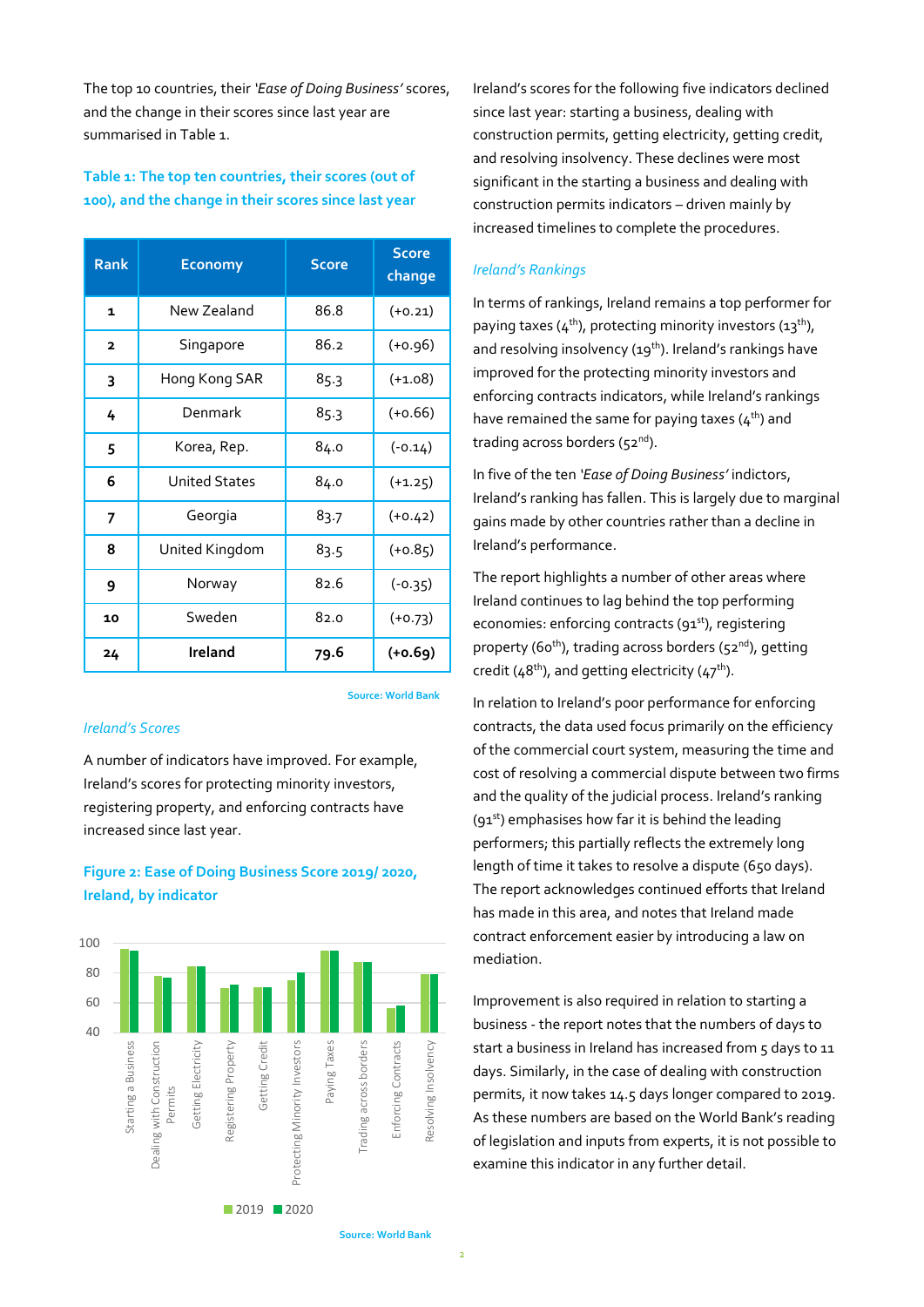The top 10 countries, their *'Ease of Doing Business'* scores, and the change in their scores since last year are summarised in Table 1.

## **Table 1: The top ten countries, their scores (out of 100), and the change in their scores since last year**

| <b>Rank</b>             | <b>Economy</b>       | <b>Score</b> | <b>Score</b><br>change |
|-------------------------|----------------------|--------------|------------------------|
| $\mathbf{1}$            | New Zealand          | 86.8         | $(+0.21)$              |
| $\overline{\mathbf{z}}$ | Singapore            | 86.2         | $(+0.96)$              |
| 3                       | Hong Kong SAR        | 85.3         | $(+1.08)$              |
| 4                       | Denmark              | 85.3         | $(+0.66)$              |
| 5                       | Korea, Rep.          | 84.0         | $(-0.14)$              |
| 6                       | <b>United States</b> | 84.0         | $(+1.25)$              |
| 7                       | Georgia              | 83.7         | $(+0.42)$              |
| 8                       | United Kingdom       | 83.5         | $(+0.85)$              |
| 9                       | Norway               | 82.6         | $(-0.35)$              |
| 10                      | Sweden               | 82.0         | $(+0.73)$              |
| 24                      | <b>Ireland</b>       | 79.6         | $(+0.69)$              |

**Source: World Bank**

## *Ireland's Scores*

A number of indicators have improved. For example, Ireland's scores for protecting minority investors, registering property, and enforcing contracts have increased since last year.

## **Figure 2: Ease of Doing Business Score 2019/ 2020, Ireland, by indicator**



Ireland's scores for the following five indicators declined since last year: starting a business, dealing with construction permits, getting electricity, getting credit, and resolving insolvency. These declines were most significant in the starting a business and dealing with construction permits indicators – driven mainly by increased timelines to complete the procedures.

## *Ireland's Rankings*

In terms of rankings, Ireland remains a top performer for paying taxes ( $4<sup>th</sup>$ ), protecting minority investors (13<sup>th</sup>), and resolving insolvency  $(19<sup>th</sup>)$ . Ireland's rankings have improved for the protecting minority investors and enforcing contracts indicators, while Ireland's rankings have remained the same for paying taxes  $(4<sup>th</sup>)$  and trading across borders ( $52<sup>nd</sup>$ ).

In five of the ten *'Ease of Doing Business'* indictors, Ireland's ranking has fallen. This is largely due to marginal gains made by other countries rather than a decline in Ireland's performance.

The report highlights a number of other areas where Ireland continues to lag behind the top performing economies: enforcing contracts (91<sup>st</sup>), registering property (60<sup>th</sup>), trading across borders (52<sup>nd</sup>), getting credit ( $48<sup>th</sup>$ ), and getting electricity ( $47<sup>th</sup>$ ).

In relation to Ireland's poor performance for enforcing contracts, the data used focus primarily on the efficiency of the commercial court system, measuring the time and cost of resolving a commercial dispute between two firms and the quality of the judicial process. Ireland's ranking  $(91<sup>st</sup>)$  emphasises how far it is behind the leading performers; this partially reflects the extremely long length of time it takes to resolve a dispute (650 days). The report acknowledges continued efforts that Ireland has made in this area, and notes that Ireland made contract enforcement easier by introducing a law on mediation.

Improvement is also required in relation to starting a business - the report notes that the numbers of days to start a business in Ireland has increased from 5 days to 11 days. Similarly, in the case of dealing with construction permits, it now takes 14.5 days longer compared to 2019. As these numbers are based on the World Bank's reading of legislation and inputs from experts, it is not possible to examine this indicator in any further detail.